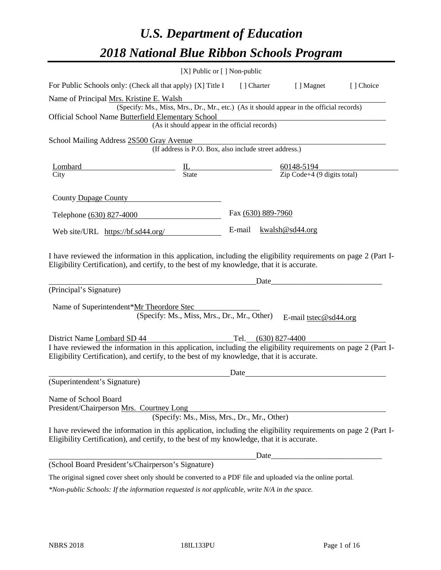# *U.S. Department of Education 2018 National Blue Ribbon Schools Program*

|                                                                                                                                                                                                                                                                 | [X] Public or [] Non-public                 |                    |      |                                                                                                                                                                  |           |
|-----------------------------------------------------------------------------------------------------------------------------------------------------------------------------------------------------------------------------------------------------------------|---------------------------------------------|--------------------|------|------------------------------------------------------------------------------------------------------------------------------------------------------------------|-----------|
| For Public Schools only: (Check all that apply) [X] Title I [] Charter [] Magnet                                                                                                                                                                                |                                             |                    |      |                                                                                                                                                                  | [] Choice |
| Name of Principal Mrs. Kristine E. Walsh<br>Official School Name Butterfield Elementary School                                                                                                                                                                  |                                             |                    |      | (Specify: Ms., Miss, Mrs., Dr., Mr., etc.) (As it should appear in the official records)<br>d Elementary School<br>(As it should appear in the official records) |           |
|                                                                                                                                                                                                                                                                 |                                             |                    |      |                                                                                                                                                                  |           |
| School Mailing Address 2S500 Gray Avenue                                                                                                                                                                                                                        |                                             |                    |      | Gray Avenue<br>(If address is P.O. Box, also include street address.)                                                                                            |           |
| $\frac{\text{Lombard}}{\text{City}}$ $\frac{\text{L}}{\text{State}}$ $\frac{60148-5194}{\text{Zip Code}+4 (9 digits total)}$                                                                                                                                    |                                             |                    |      |                                                                                                                                                                  |           |
|                                                                                                                                                                                                                                                                 |                                             |                    |      |                                                                                                                                                                  |           |
| County Dupage County                                                                                                                                                                                                                                            |                                             |                    |      |                                                                                                                                                                  |           |
| Telephone (630) 827-4000                                                                                                                                                                                                                                        |                                             | Fax (630) 889-7960 |      |                                                                                                                                                                  |           |
| Web site/URL https://bf.sd44.org/                                                                                                                                                                                                                               |                                             |                    |      | E-mail kwalsh@sd44.org                                                                                                                                           |           |
| Eligibility Certification), and certify, to the best of my knowledge, that it is accurate.<br>(Principal's Signature)<br>Name of Superintendent*Mr Theordore Stec                                                                                               | (Specify: Ms., Miss, Mrs., Dr., Mr., Other) |                    | Date | E-mail tstec@sd44.org                                                                                                                                            |           |
|                                                                                                                                                                                                                                                                 |                                             |                    |      |                                                                                                                                                                  |           |
| District Name Lombard SD 44 Tel. (630) 827-4400<br>I have reviewed the information in this application, including the eligibility requirements on page 2 (Part I-<br>Eligibility Certification), and certify, to the best of my knowledge, that it is accurate. |                                             |                    |      |                                                                                                                                                                  |           |
|                                                                                                                                                                                                                                                                 |                                             | Date               |      |                                                                                                                                                                  |           |
| (Superintendent's Signature)                                                                                                                                                                                                                                    |                                             |                    |      |                                                                                                                                                                  |           |
| Name of School Board<br>President/Chairperson Mrs. Courtney Long                                                                                                                                                                                                | (Specify: Ms., Miss, Mrs., Dr., Mr., Other) |                    |      |                                                                                                                                                                  |           |
| I have reviewed the information in this application, including the eligibility requirements on page 2 (Part I-<br>Eligibility Certification), and certify, to the best of my knowledge, that it is accurate.                                                    |                                             |                    |      |                                                                                                                                                                  |           |
|                                                                                                                                                                                                                                                                 |                                             |                    |      |                                                                                                                                                                  |           |
| (School Board President's/Chairperson's Signature)                                                                                                                                                                                                              |                                             |                    |      |                                                                                                                                                                  |           |
| The original signed cover sheet only should be converted to a PDF file and uploaded via the online portal.                                                                                                                                                      |                                             |                    |      |                                                                                                                                                                  |           |

*\*Non-public Schools: If the information requested is not applicable, write N/A in the space.*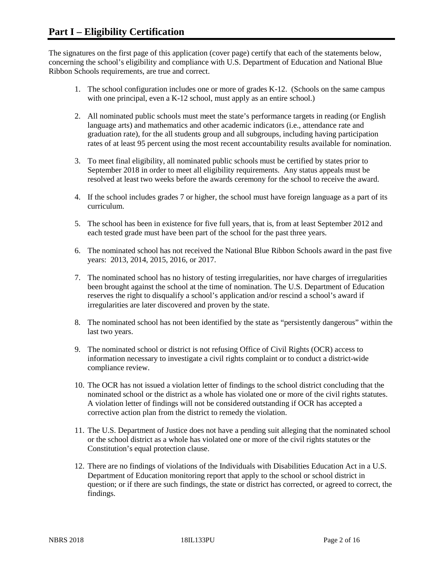The signatures on the first page of this application (cover page) certify that each of the statements below, concerning the school's eligibility and compliance with U.S. Department of Education and National Blue Ribbon Schools requirements, are true and correct.

- 1. The school configuration includes one or more of grades K-12. (Schools on the same campus with one principal, even a K-12 school, must apply as an entire school.)
- 2. All nominated public schools must meet the state's performance targets in reading (or English language arts) and mathematics and other academic indicators (i.e., attendance rate and graduation rate), for the all students group and all subgroups, including having participation rates of at least 95 percent using the most recent accountability results available for nomination.
- 3. To meet final eligibility, all nominated public schools must be certified by states prior to September 2018 in order to meet all eligibility requirements. Any status appeals must be resolved at least two weeks before the awards ceremony for the school to receive the award.
- 4. If the school includes grades 7 or higher, the school must have foreign language as a part of its curriculum.
- 5. The school has been in existence for five full years, that is, from at least September 2012 and each tested grade must have been part of the school for the past three years.
- 6. The nominated school has not received the National Blue Ribbon Schools award in the past five years: 2013, 2014, 2015, 2016, or 2017.
- 7. The nominated school has no history of testing irregularities, nor have charges of irregularities been brought against the school at the time of nomination. The U.S. Department of Education reserves the right to disqualify a school's application and/or rescind a school's award if irregularities are later discovered and proven by the state.
- 8. The nominated school has not been identified by the state as "persistently dangerous" within the last two years.
- 9. The nominated school or district is not refusing Office of Civil Rights (OCR) access to information necessary to investigate a civil rights complaint or to conduct a district-wide compliance review.
- 10. The OCR has not issued a violation letter of findings to the school district concluding that the nominated school or the district as a whole has violated one or more of the civil rights statutes. A violation letter of findings will not be considered outstanding if OCR has accepted a corrective action plan from the district to remedy the violation.
- 11. The U.S. Department of Justice does not have a pending suit alleging that the nominated school or the school district as a whole has violated one or more of the civil rights statutes or the Constitution's equal protection clause.
- 12. There are no findings of violations of the Individuals with Disabilities Education Act in a U.S. Department of Education monitoring report that apply to the school or school district in question; or if there are such findings, the state or district has corrected, or agreed to correct, the findings.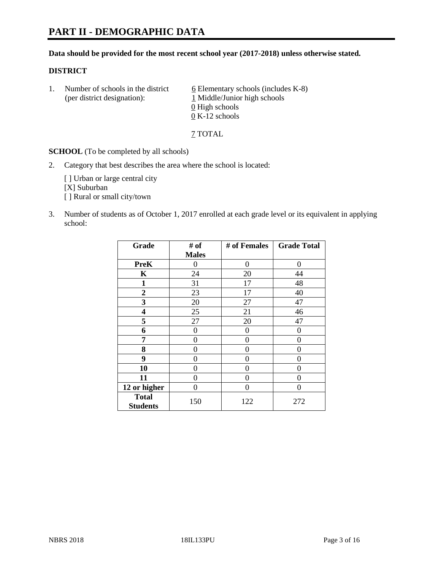#### **Data should be provided for the most recent school year (2017-2018) unless otherwise stated.**

## **DISTRICT**

1. Number of schools in the district  $6$  Elementary schools (includes K-8) (per district designation): 1 Middle/Junior high schools 0 High schools 0 K-12 schools

7 TOTAL

**SCHOOL** (To be completed by all schools)

2. Category that best describes the area where the school is located:

[] Urban or large central city [X] Suburban [] Rural or small city/town

3. Number of students as of October 1, 2017 enrolled at each grade level or its equivalent in applying school:

| Grade                           | # of         | # of Females | <b>Grade Total</b> |
|---------------------------------|--------------|--------------|--------------------|
|                                 | <b>Males</b> |              |                    |
| <b>PreK</b>                     | 0            | $\Omega$     | 0                  |
| $\mathbf K$                     | 24           | 20           | 44                 |
| $\mathbf{1}$                    | 31           | 17           | 48                 |
| 2                               | 23           | 17           | 40                 |
| 3                               | 20           | 27           | 47                 |
| 4                               | 25           | 21           | 46                 |
| 5                               | 27           | 20           | 47                 |
| 6                               | 0            | 0            | 0                  |
| 7                               | 0            | 0            | 0                  |
| 8                               | 0            | 0            | 0                  |
| 9                               | 0            | 0            | 0                  |
| 10                              | 0            | 0            | 0                  |
| 11                              | 0            | 0            | 0                  |
| 12 or higher                    | 0            | 0            | 0                  |
| <b>Total</b><br><b>Students</b> | 150          | 122          | 272                |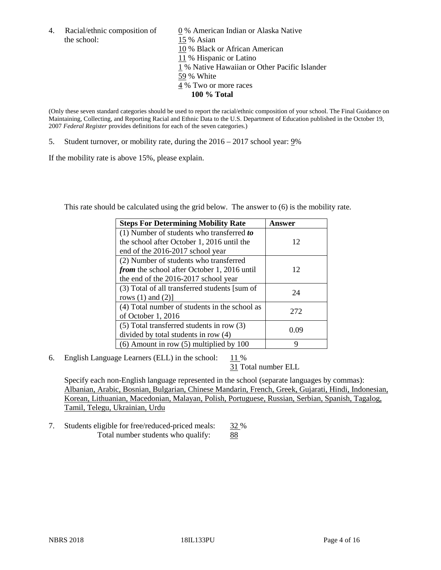the school: 15 % Asian

4. Racial/ethnic composition of  $\qquad 0\%$  American Indian or Alaska Native 10 % Black or African American 11 % Hispanic or Latino 1 % Native Hawaiian or Other Pacific Islander 59 % White 4 % Two or more races **100 % Total**

(Only these seven standard categories should be used to report the racial/ethnic composition of your school. The Final Guidance on Maintaining, Collecting, and Reporting Racial and Ethnic Data to the U.S. Department of Education published in the October 19, 2007 *Federal Register* provides definitions for each of the seven categories.)

5. Student turnover, or mobility rate, during the 2016 – 2017 school year: 9%

If the mobility rate is above 15%, please explain.

This rate should be calculated using the grid below. The answer to (6) is the mobility rate.

| <b>Steps For Determining Mobility Rate</b>         | Answer |
|----------------------------------------------------|--------|
| $(1)$ Number of students who transferred to        |        |
| the school after October 1, 2016 until the         | 12     |
| end of the 2016-2017 school year                   |        |
| (2) Number of students who transferred             |        |
| <i>from</i> the school after October 1, 2016 until | 12     |
| the end of the 2016-2017 school year               |        |
| (3) Total of all transferred students [sum of      | 24     |
| rows $(1)$ and $(2)$ ]                             |        |
| (4) Total number of students in the school as      |        |
| of October 1, 2016                                 | 272    |
| (5) Total transferred students in row (3)          |        |
| divided by total students in row (4)               | 0.09   |
| $(6)$ Amount in row $(5)$ multiplied by 100        | 9      |

6. English Language Learners (ELL) in the school:  $11\%$ 

31 Total number ELL

Specify each non-English language represented in the school (separate languages by commas): Albanian, Arabic, Bosnian, Bulgarian, Chinese Mandarin, French, Greek, Gujarati, Hindi, Indonesian, Korean, Lithuanian, Macedonian, Malayan, Polish, Portuguese, Russian, Serbian, Spanish, Tagalog, Tamil, Telegu, Ukrainian, Urdu

7. Students eligible for free/reduced-priced meals: 32 % Total number students who qualify: 88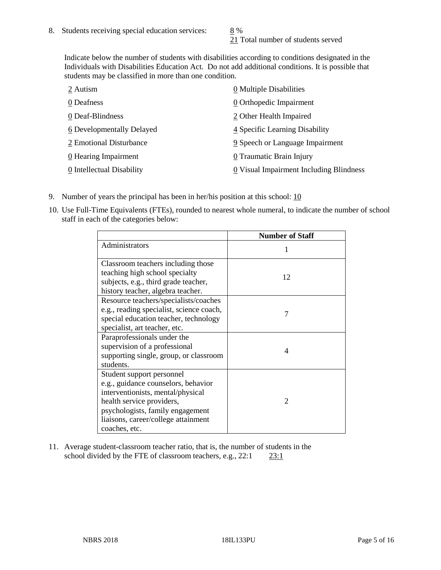21 Total number of students served

Indicate below the number of students with disabilities according to conditions designated in the Individuals with Disabilities Education Act. Do not add additional conditions. It is possible that students may be classified in more than one condition.

| 2 Autism                  | 0 Multiple Disabilities                 |
|---------------------------|-----------------------------------------|
| 0 Deafness                | 0 Orthopedic Impairment                 |
| 0 Deaf-Blindness          | 2 Other Health Impaired                 |
| 6 Developmentally Delayed | 4 Specific Learning Disability          |
| 2 Emotional Disturbance   | 9 Speech or Language Impairment         |
| 0 Hearing Impairment      | 0 Traumatic Brain Injury                |
| 0 Intellectual Disability | 0 Visual Impairment Including Blindness |

- 9. Number of years the principal has been in her/his position at this school: 10
- 10. Use Full-Time Equivalents (FTEs), rounded to nearest whole numeral, to indicate the number of school staff in each of the categories below:

|                                                                                                                                                                                                                                | <b>Number of Staff</b> |
|--------------------------------------------------------------------------------------------------------------------------------------------------------------------------------------------------------------------------------|------------------------|
| Administrators                                                                                                                                                                                                                 |                        |
| Classroom teachers including those<br>teaching high school specialty<br>subjects, e.g., third grade teacher,<br>history teacher, algebra teacher.                                                                              | 12                     |
| Resource teachers/specialists/coaches<br>e.g., reading specialist, science coach,<br>special education teacher, technology<br>specialist, art teacher, etc.                                                                    |                        |
| Paraprofessionals under the<br>supervision of a professional<br>supporting single, group, or classroom<br>students.                                                                                                            | 4                      |
| Student support personnel<br>e.g., guidance counselors, behavior<br>interventionists, mental/physical<br>health service providers,<br>psychologists, family engagement<br>liaisons, career/college attainment<br>coaches, etc. | $\mathfrak{D}$         |

11. Average student-classroom teacher ratio, that is, the number of students in the school divided by the FTE of classroom teachers, e.g., 22:1 23:1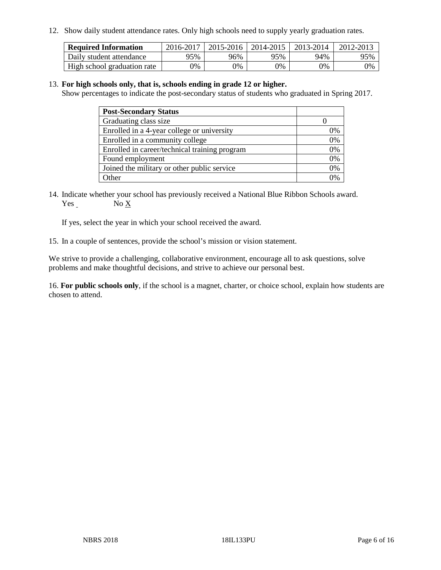12. Show daily student attendance rates. Only high schools need to supply yearly graduation rates.

| <b>Required Information</b> | 2016-2017 | $2015 - 2016$ | 2014-2015 | 2013-2014 | 2012-2013 |
|-----------------------------|-----------|---------------|-----------|-----------|-----------|
| Daily student attendance    | 95%       | 96%           | 95%       | 94%       | 95%       |
| High school graduation rate | 0%        | 0%            | 0%        | 9%        | 0%        |

#### 13. **For high schools only, that is, schools ending in grade 12 or higher.**

Show percentages to indicate the post-secondary status of students who graduated in Spring 2017.

| <b>Post-Secondary Status</b>                  |    |
|-----------------------------------------------|----|
| Graduating class size                         |    |
| Enrolled in a 4-year college or university    | 0% |
| Enrolled in a community college               | 0% |
| Enrolled in career/technical training program | 0% |
| Found employment                              | 0% |
| Joined the military or other public service   | 0% |
| Other                                         | ገ% |

14. Indicate whether your school has previously received a National Blue Ribbon Schools award. Yes No X

If yes, select the year in which your school received the award.

15. In a couple of sentences, provide the school's mission or vision statement.

We strive to provide a challenging, collaborative environment, encourage all to ask questions, solve problems and make thoughtful decisions, and strive to achieve our personal best.

16. **For public schools only**, if the school is a magnet, charter, or choice school, explain how students are chosen to attend.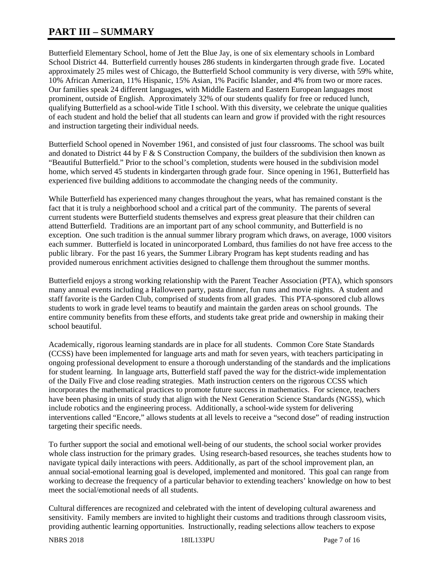# **PART III – SUMMARY**

Butterfield Elementary School, home of Jett the Blue Jay, is one of six elementary schools in Lombard School District 44. Butterfield currently houses 286 students in kindergarten through grade five. Located approximately 25 miles west of Chicago, the Butterfield School community is very diverse, with 59% white, 10% African American, 11% Hispanic, 15% Asian, 1% Pacific Islander, and 4% from two or more races. Our families speak 24 different languages, with Middle Eastern and Eastern European languages most prominent, outside of English. Approximately 32% of our students qualify for free or reduced lunch, qualifying Butterfield as a school-wide Title I school. With this diversity, we celebrate the unique qualities of each student and hold the belief that all students can learn and grow if provided with the right resources and instruction targeting their individual needs.

Butterfield School opened in November 1961, and consisted of just four classrooms. The school was built and donated to District 44 by  $\mathbb{F} \& S$  Construction Company, the builders of the subdivision then known as "Beautiful Butterfield." Prior to the school's completion, students were housed in the subdivision model home, which served 45 students in kindergarten through grade four. Since opening in 1961, Butterfield has experienced five building additions to accommodate the changing needs of the community.

While Butterfield has experienced many changes throughout the years, what has remained constant is the fact that it is truly a neighborhood school and a critical part of the community. The parents of several current students were Butterfield students themselves and express great pleasure that their children can attend Butterfield. Traditions are an important part of any school community, and Butterfield is no exception. One such tradition is the annual summer library program which draws, on average, 1000 visitors each summer. Butterfield is located in unincorporated Lombard, thus families do not have free access to the public library. For the past 16 years, the Summer Library Program has kept students reading and has provided numerous enrichment activities designed to challenge them throughout the summer months.

Butterfield enjoys a strong working relationship with the Parent Teacher Association (PTA), which sponsors many annual events including a Halloween party, pasta dinner, fun runs and movie nights. A student and staff favorite is the Garden Club, comprised of students from all grades. This PTA-sponsored club allows students to work in grade level teams to beautify and maintain the garden areas on school grounds. The entire community benefits from these efforts, and students take great pride and ownership in making their school beautiful.

Academically, rigorous learning standards are in place for all students. Common Core State Standards (CCSS) have been implemented for language arts and math for seven years, with teachers participating in ongoing professional development to ensure a thorough understanding of the standards and the implications for student learning. In language arts, Butterfield staff paved the way for the district-wide implementation of the Daily Five and close reading strategies. Math instruction centers on the rigorous CCSS which incorporates the mathematical practices to promote future success in mathematics. For science, teachers have been phasing in units of study that align with the Next Generation Science Standards (NGSS), which include robotics and the engineering process. Additionally, a school-wide system for delivering interventions called "Encore," allows students at all levels to receive a "second dose" of reading instruction targeting their specific needs.

To further support the social and emotional well-being of our students, the school social worker provides whole class instruction for the primary grades. Using research-based resources, she teaches students how to navigate typical daily interactions with peers. Additionally, as part of the school improvement plan, an annual social-emotional learning goal is developed, implemented and monitored. This goal can range from working to decrease the frequency of a particular behavior to extending teachers' knowledge on how to best meet the social/emotional needs of all students.

Cultural differences are recognized and celebrated with the intent of developing cultural awareness and sensitivity. Family members are invited to highlight their customs and traditions through classroom visits, providing authentic learning opportunities. Instructionally, reading selections allow teachers to expose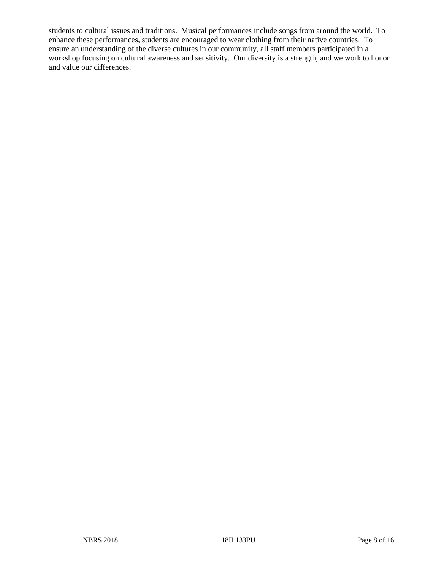students to cultural issues and traditions. Musical performances include songs from around the world. To enhance these performances, students are encouraged to wear clothing from their native countries. To ensure an understanding of the diverse cultures in our community, all staff members participated in a workshop focusing on cultural awareness and sensitivity. Our diversity is a strength, and we work to honor and value our differences.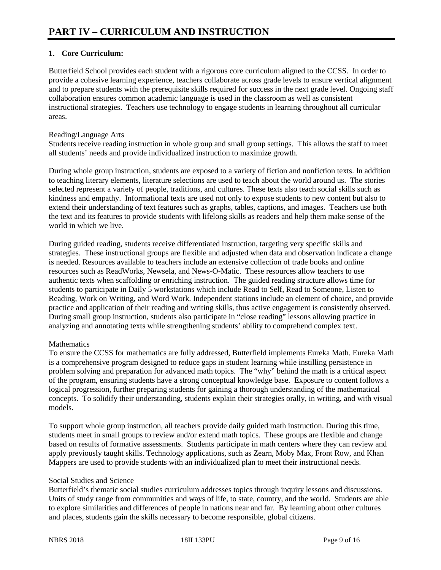# **1. Core Curriculum:**

Butterfield School provides each student with a rigorous core curriculum aligned to the CCSS. In order to provide a cohesive learning experience, teachers collaborate across grade levels to ensure vertical alignment and to prepare students with the prerequisite skills required for success in the next grade level. Ongoing staff collaboration ensures common academic language is used in the classroom as well as consistent instructional strategies. Teachers use technology to engage students in learning throughout all curricular areas.

#### Reading/Language Arts

Students receive reading instruction in whole group and small group settings. This allows the staff to meet all students' needs and provide individualized instruction to maximize growth.

During whole group instruction, students are exposed to a variety of fiction and nonfiction texts. In addition to teaching literary elements, literature selections are used to teach about the world around us. The stories selected represent a variety of people, traditions, and cultures. These texts also teach social skills such as kindness and empathy. Informational texts are used not only to expose students to new content but also to extend their understanding of text features such as graphs, tables, captions, and images. Teachers use both the text and its features to provide students with lifelong skills as readers and help them make sense of the world in which we live.

During guided reading, students receive differentiated instruction, targeting very specific skills and strategies. These instructional groups are flexible and adjusted when data and observation indicate a change is needed. Resources available to teachers include an extensive collection of trade books and online resources such as ReadWorks, Newsela, and News-O-Matic. These resources allow teachers to use authentic texts when scaffolding or enriching instruction. The guided reading structure allows time for students to participate in Daily 5 workstations which include Read to Self, Read to Someone, Listen to Reading, Work on Writing, and Word Work. Independent stations include an element of choice, and provide practice and application of their reading and writing skills, thus active engagement is consistently observed. During small group instruction, students also participate in "close reading" lessons allowing practice in analyzing and annotating texts while strengthening students' ability to comprehend complex text.

# **Mathematics**

To ensure the CCSS for mathematics are fully addressed, Butterfield implements Eureka Math. Eureka Math is a comprehensive program designed to reduce gaps in student learning while instilling persistence in problem solving and preparation for advanced math topics. The "why" behind the math is a critical aspect of the program, ensuring students have a strong conceptual knowledge base. Exposure to content follows a logical progression, further preparing students for gaining a thorough understanding of the mathematical concepts. To solidify their understanding, students explain their strategies orally, in writing, and with visual models.

To support whole group instruction, all teachers provide daily guided math instruction. During this time, students meet in small groups to review and/or extend math topics. These groups are flexible and change based on results of formative assessments. Students participate in math centers where they can review and apply previously taught skills. Technology applications, such as Zearn, Moby Max, Front Row, and Khan Mappers are used to provide students with an individualized plan to meet their instructional needs.

# Social Studies and Science

Butterfield's thematic social studies curriculum addresses topics through inquiry lessons and discussions. Units of study range from communities and ways of life, to state, country, and the world. Students are able to explore similarities and differences of people in nations near and far. By learning about other cultures and places, students gain the skills necessary to become responsible, global citizens.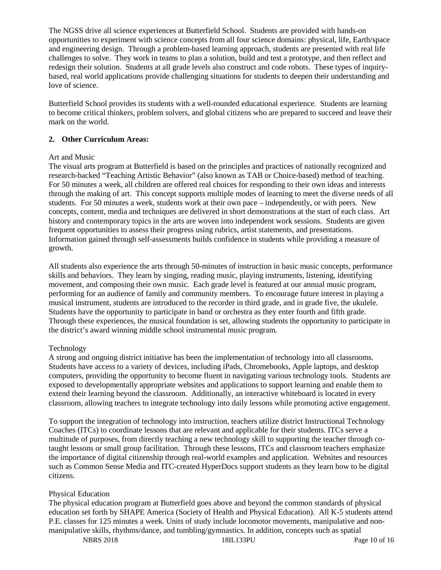The NGSS drive all science experiences at Butterfield School. Students are provided with hands-on opportunities to experiment with science concepts from all four science domains: physical, life, Earth/space and engineering design. Through a problem-based learning approach, students are presented with real life challenges to solve. They work in teams to plan a solution, build and test a prototype, and then reflect and redesign their solution. Students at all grade levels also construct and code robots. These types of inquirybased, real world applications provide challenging situations for students to deepen their understanding and love of science.

Butterfield School provides its students with a well-rounded educational experience. Students are learning to become critical thinkers, problem solvers, and global citizens who are prepared to succeed and leave their mark on the world.

#### **2. Other Curriculum Areas:**

#### Art and Music

The visual arts program at Butterfield is based on the principles and practices of nationally recognized and research-backed "Teaching Artistic Behavior" (also known as TAB or Choice-based) method of teaching. For 50 minutes a week, all children are offered real choices for responding to their own ideas and interests through the making of art. This concept supports multiple modes of learning to meet the diverse needs of all students. For 50 minutes a week, students work at their own pace – independently, or with peers. New concepts, content, media and techniques are delivered in short demonstrations at the start of each class. Art history and contemporary topics in the arts are woven into independent work sessions. Students are given frequent opportunities to assess their progress using rubrics, artist statements, and presentations. Information gained through self-assessments builds confidence in students while providing a measure of growth.

All students also experience the arts through 50-minutes of instruction in basic music concepts, performance skills and behaviors. They learn by singing, reading music, playing instruments, listening, identifying movement, and composing their own music. Each grade level is featured at our annual music program, performing for an audience of family and community members. To encourage future interest in playing a musical instrument, students are introduced to the recorder in third grade, and in grade five, the ukulele. Students have the opportunity to participate in band or orchestra as they enter fourth and fifth grade. Through these experiences, the musical foundation is set, allowing students the opportunity to participate in the district's award winning middle school instrumental music program.

#### Technology

A strong and ongoing district initiative has been the implementation of technology into all classrooms. Students have access to a variety of devices, including iPads, Chromebooks, Apple laptops, and desktop computers, providing the opportunity to become fluent in navigating various technology tools. Students are exposed to developmentally appropriate websites and applications to support learning and enable them to extend their learning beyond the classroom. Additionally, an interactive whiteboard is located in every classroom, allowing teachers to integrate technology into daily lessons while promoting active engagement.

To support the integration of technology into instruction, teachers utilize district Instructional Technology Coaches (ITCs) to coordinate lessons that are relevant and applicable for their students. ITCs serve a multitude of purposes, from directly teaching a new technology skill to supporting the teacher through cotaught lessons or small group facilitation. Through these lessons, ITCs and classroom teachers emphasize the importance of digital citizenship through real-world examples and application. Websites and resources such as Common Sense Media and ITC-created HyperDocs support students as they learn how to be digital citizens.

#### Physical Education

The physical education program at Butterfield goes above and beyond the common standards of physical education set forth by SHAPE America (Society of Health and Physical Education). All K-5 students attend P.E. classes for 125 minutes a week. Units of study include locomotor movements, manipulative and nonmanipulative skills, rhythms/dance, and tumbling/gymnastics. In addition, concepts such as spatial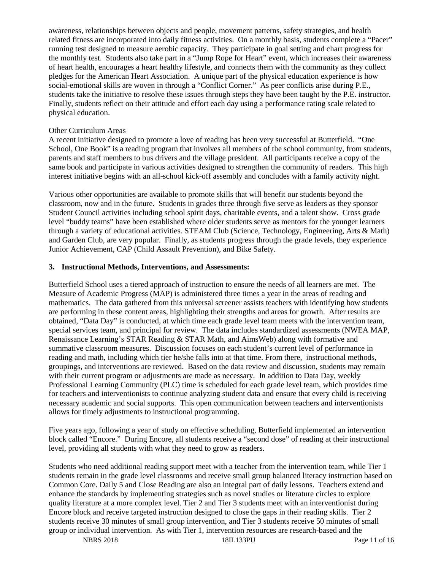awareness, relationships between objects and people, movement patterns, safety strategies, and health related fitness are incorporated into daily fitness activities. On a monthly basis, students complete a "Pacer" running test designed to measure aerobic capacity. They participate in goal setting and chart progress for the monthly test. Students also take part in a "Jump Rope for Heart" event, which increases their awareness of heart health, encourages a heart healthy lifestyle, and connects them with the community as they collect pledges for the American Heart Association. A unique part of the physical education experience is how social-emotional skills are woven in through a "Conflict Corner." As peer conflicts arise during P.E., students take the initiative to resolve these issues through steps they have been taught by the P.E. instructor. Finally, students reflect on their attitude and effort each day using a performance rating scale related to physical education.

## Other Curriculum Areas

A recent initiative designed to promote a love of reading has been very successful at Butterfield. "One School, One Book" is a reading program that involves all members of the school community, from students, parents and staff members to bus drivers and the village president. All participants receive a copy of the same book and participate in various activities designed to strengthen the community of readers. This high interest initiative begins with an all-school kick-off assembly and concludes with a family activity night.

Various other opportunities are available to promote skills that will benefit our students beyond the classroom, now and in the future. Students in grades three through five serve as leaders as they sponsor Student Council activities including school spirit days, charitable events, and a talent show. Cross grade level "buddy teams" have been established where older students serve as mentors for the younger learners through a variety of educational activities. STEAM Club (Science, Technology, Engineering, Arts & Math) and Garden Club, are very popular. Finally, as students progress through the grade levels, they experience Junior Achievement, CAP (Child Assault Prevention), and Bike Safety.

#### **3. Instructional Methods, Interventions, and Assessments:**

Butterfield School uses a tiered approach of instruction to ensure the needs of all learners are met. The Measure of Academic Progress (MAP) is administered three times a year in the areas of reading and mathematics. The data gathered from this universal screener assists teachers with identifying how students are performing in these content areas, highlighting their strengths and areas for growth. After results are obtained, "Data Day" is conducted, at which time each grade level team meets with the intervention team, special services team, and principal for review. The data includes standardized assessments (NWEA MAP, Renaissance Learning's STAR Reading & STAR Math, and AimsWeb) along with formative and summative classroom measures. Discussion focuses on each student's current level of performance in reading and math, including which tier he/she falls into at that time. From there, instructional methods, groupings, and interventions are reviewed. Based on the data review and discussion, students may remain with their current program or adjustments are made as necessary. In addition to Data Day, weekly Professional Learning Community (PLC) time is scheduled for each grade level team, which provides time for teachers and interventionists to continue analyzing student data and ensure that every child is receiving necessary academic and social supports. This open communication between teachers and interventionists allows for timely adjustments to instructional programming.

Five years ago, following a year of study on effective scheduling, Butterfield implemented an intervention block called "Encore." During Encore, all students receive a "second dose" of reading at their instructional level, providing all students with what they need to grow as readers.

Students who need additional reading support meet with a teacher from the intervention team, while Tier 1 students remain in the grade level classrooms and receive small group balanced literacy instruction based on Common Core. Daily 5 and Close Reading are also an integral part of daily lessons. Teachers extend and enhance the standards by implementing strategies such as novel studies or literature circles to explore quality literature at a more complex level. Tier 2 and Tier 3 students meet with an interventionist during Encore block and receive targeted instruction designed to close the gaps in their reading skills. Tier 2 students receive 30 minutes of small group intervention, and Tier 3 students receive 50 minutes of small group or individual intervention. As with Tier 1, intervention resources are research-based and the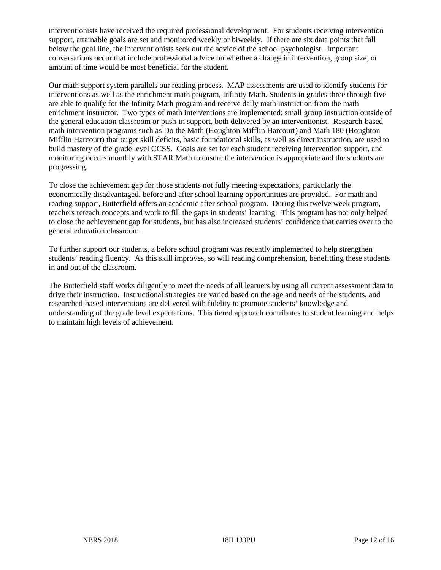interventionists have received the required professional development. For students receiving intervention support, attainable goals are set and monitored weekly or biweekly. If there are six data points that fall below the goal line, the interventionists seek out the advice of the school psychologist. Important conversations occur that include professional advice on whether a change in intervention, group size, or amount of time would be most beneficial for the student.

Our math support system parallels our reading process. MAP assessments are used to identify students for interventions as well as the enrichment math program, Infinity Math. Students in grades three through five are able to qualify for the Infinity Math program and receive daily math instruction from the math enrichment instructor. Two types of math interventions are implemented: small group instruction outside of the general education classroom or push-in support, both delivered by an interventionist. Research-based math intervention programs such as Do the Math (Houghton Mifflin Harcourt) and Math 180 (Houghton Mifflin Harcourt) that target skill deficits, basic foundational skills, as well as direct instruction, are used to build mastery of the grade level CCSS. Goals are set for each student receiving intervention support, and monitoring occurs monthly with STAR Math to ensure the intervention is appropriate and the students are progressing.

To close the achievement gap for those students not fully meeting expectations, particularly the economically disadvantaged, before and after school learning opportunities are provided. For math and reading support, Butterfield offers an academic after school program. During this twelve week program, teachers reteach concepts and work to fill the gaps in students' learning. This program has not only helped to close the achievement gap for students, but has also increased students' confidence that carries over to the general education classroom.

To further support our students, a before school program was recently implemented to help strengthen students' reading fluency. As this skill improves, so will reading comprehension, benefitting these students in and out of the classroom.

The Butterfield staff works diligently to meet the needs of all learners by using all current assessment data to drive their instruction. Instructional strategies are varied based on the age and needs of the students, and researched-based interventions are delivered with fidelity to promote students' knowledge and understanding of the grade level expectations. This tiered approach contributes to student learning and helps to maintain high levels of achievement.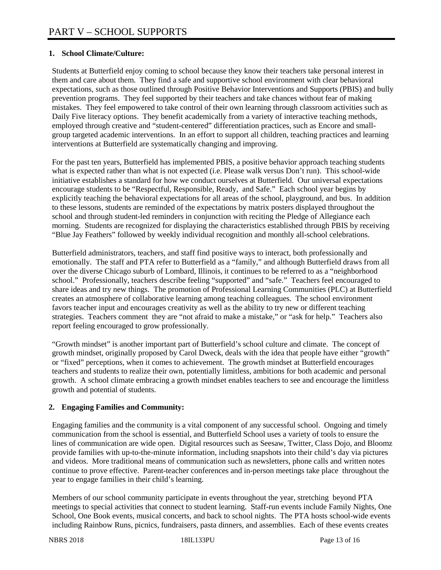# **1. School Climate/Culture:**

Students at Butterfield enjoy coming to school because they know their teachers take personal interest in them and care about them. They find a safe and supportive school environment with clear behavioral expectations, such as those outlined through Positive Behavior Interventions and Supports (PBIS) and bully prevention programs. They feel supported by their teachers and take chances without fear of making mistakes. They feel empowered to take control of their own learning through classroom activities such as Daily Five literacy options. They benefit academically from a variety of interactive teaching methods, employed through creative and "student-centered" differentiation practices, such as Encore and smallgroup targeted academic interventions. In an effort to support all children, teaching practices and learning interventions at Butterfield are systematically changing and improving.

For the past ten years, Butterfield has implemented PBIS, a positive behavior approach teaching students what is expected rather than what is not expected (i.e. Please walk versus Don't run). This school-wide initiative establishes a standard for how we conduct ourselves at Butterfield. Our universal expectations encourage students to be "Respectful, Responsible, Ready, and Safe." Each school year begins by explicitly teaching the behavioral expectations for all areas of the school, playground, and bus. In addition to these lessons, students are reminded of the expectations by matrix posters displayed throughout the school and through student-led reminders in conjunction with reciting the Pledge of Allegiance each morning. Students are recognized for displaying the characteristics established through PBIS by receiving "Blue Jay Feathers" followed by weekly individual recognition and monthly all-school celebrations.

Butterfield administrators, teachers, and staff find positive ways to interact, both professionally and emotionally. The staff and PTA refer to Butterfield as a "family," and although Butterfield draws from all over the diverse Chicago suburb of Lombard, Illinois, it continues to be referred to as a "neighborhood school." Professionally, teachers describe feeling "supported" and "safe." Teachers feel encouraged to share ideas and try new things. The promotion of Professional Learning Communities (PLC) at Butterfield creates an atmosphere of collaborative learning among teaching colleagues. The school environment favors teacher input and encourages creativity as well as the ability to try new or different teaching strategies. Teachers comment they are "not afraid to make a mistake," or "ask for help." Teachers also report feeling encouraged to grow professionally.

"Growth mindset" is another important part of Butterfield's school culture and climate. The concept of growth mindset, originally proposed by Carol Dweck, deals with the idea that people have either "growth" or "fixed" perceptions, when it comes to achievement. The growth mindset at Butterfield encourages teachers and students to realize their own, potentially limitless, ambitions for both academic and personal growth. A school climate embracing a growth mindset enables teachers to see and encourage the limitless growth and potential of students.

# **2. Engaging Families and Community:**

Engaging families and the community is a vital component of any successful school. Ongoing and timely communication from the school is essential, and Butterfield School uses a variety of tools to ensure the lines of communication are wide open. Digital resources such as Seesaw, Twitter, Class Dojo, and Bloomz provide families with up-to-the-minute information, including snapshots into their child's day via pictures and videos. More traditional means of communication such as newsletters, phone calls and written notes continue to prove effective. Parent-teacher conferences and in-person meetings take place throughout the year to engage families in their child's learning.

Members of our school community participate in events throughout the year, stretching beyond PTA meetings to special activities that connect to student learning. Staff-run events include Family Nights, One School, One Book events, musical concerts, and back to school nights. The PTA hosts school-wide events including Rainbow Runs, picnics, fundraisers, pasta dinners, and assemblies. Each of these events creates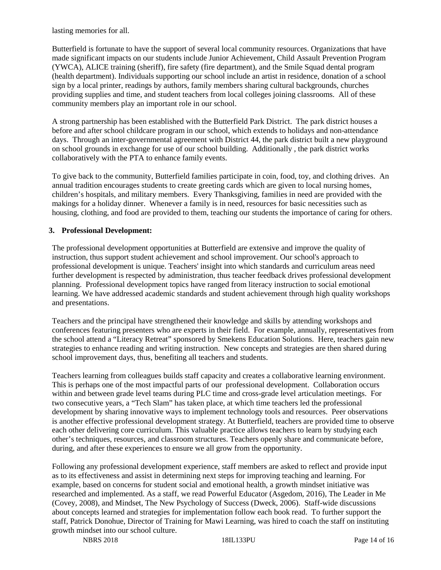lasting memories for all.

Butterfield is fortunate to have the support of several local community resources. Organizations that have made significant impacts on our students include Junior Achievement, Child Assault Prevention Program (YWCA), ALICE training (sheriff), fire safety (fire department), and the Smile Squad dental program (health department). Individuals supporting our school include an artist in residence, donation of a school sign by a local printer, readings by authors, family members sharing cultural backgrounds, churches providing supplies and time, and student teachers from local colleges joining classrooms. All of these community members play an important role in our school.

A strong partnership has been established with the Butterfield Park District. The park district houses a before and after school childcare program in our school, which extends to holidays and non-attendance days. Through an inter-governmental agreement with District 44, the park district built a new playground on school grounds in exchange for use of our school building. Additionally , the park district works collaboratively with the PTA to enhance family events.

To give back to the community, Butterfield families participate in coin, food, toy, and clothing drives. An annual tradition encourages students to create greeting cards which are given to local nursing homes, children's hospitals, and military members. Every Thanksgiving, families in need are provided with the makings for a holiday dinner. Whenever a family is in need, resources for basic necessities such as housing, clothing, and food are provided to them, teaching our students the importance of caring for others.

#### **3. Professional Development:**

The professional development opportunities at Butterfield are extensive and improve the quality of instruction, thus support student achievement and school improvement. Our school's approach to professional development is unique. Teachers' insight into which standards and curriculum areas need further development is respected by administration, thus teacher feedback drives professional development planning. Professional development topics have ranged from literacy instruction to social emotional learning. We have addressed academic standards and student achievement through high quality workshops and presentations.

Teachers and the principal have strengthened their knowledge and skills by attending workshops and conferences featuring presenters who are experts in their field. For example, annually, representatives from the school attend a "Literacy Retreat" sponsored by Smekens Education Solutions. Here, teachers gain new strategies to enhance reading and writing instruction. New concepts and strategies are then shared during school improvement days, thus, benefiting all teachers and students.

Teachers learning from colleagues builds staff capacity and creates a collaborative learning environment. This is perhaps one of the most impactful parts of our professional development. Collaboration occurs within and between grade level teams during PLC time and cross-grade level articulation meetings. For two consecutive years, a "Tech Slam" has taken place, at which time teachers led the professional development by sharing innovative ways to implement technology tools and resources. Peer observations is another effective professional development strategy. At Butterfield, teachers are provided time to observe each other delivering core curriculum. This valuable practice allows teachers to learn by studying each other's techniques, resources, and classroom structures. Teachers openly share and communicate before, during, and after these experiences to ensure we all grow from the opportunity.

Following any professional development experience, staff members are asked to reflect and provide input as to its effectiveness and assist in determining next steps for improving teaching and learning. For example, based on concerns for student social and emotional health, a growth mindset initiative was researched and implemented. As a staff, we read Powerful Educator (Asgedom, 2016), The Leader in Me (Covey, 2008), and Mindset, The New Psychology of Success (Dweck, 2006). Staff-wide discussions about concepts learned and strategies for implementation follow each book read. To further support the staff, Patrick Donohue, Director of Training for Mawi Learning, was hired to coach the staff on instituting growth mindset into our school culture.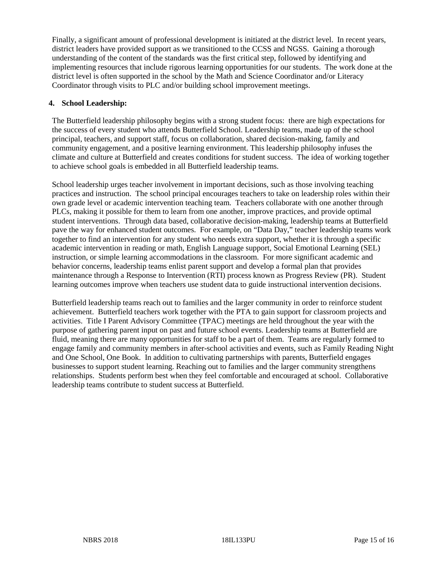Finally, a significant amount of professional development is initiated at the district level. In recent years, district leaders have provided support as we transitioned to the CCSS and NGSS. Gaining a thorough understanding of the content of the standards was the first critical step, followed by identifying and implementing resources that include rigorous learning opportunities for our students. The work done at the district level is often supported in the school by the Math and Science Coordinator and/or Literacy Coordinator through visits to PLC and/or building school improvement meetings.

# **4. School Leadership:**

The Butterfield leadership philosophy begins with a strong student focus: there are high expectations for the success of every student who attends Butterfield School. Leadership teams, made up of the school principal, teachers, and support staff, focus on collaboration, shared decision-making, family and community engagement, and a positive learning environment. This leadership philosophy infuses the climate and culture at Butterfield and creates conditions for student success. The idea of working together to achieve school goals is embedded in all Butterfield leadership teams.

School leadership urges teacher involvement in important decisions, such as those involving teaching practices and instruction. The school principal encourages teachers to take on leadership roles within their own grade level or academic intervention teaching team. Teachers collaborate with one another through PLCs, making it possible for them to learn from one another, improve practices, and provide optimal student interventions. Through data based, collaborative decision-making, leadership teams at Butterfield pave the way for enhanced student outcomes. For example, on "Data Day," teacher leadership teams work together to find an intervention for any student who needs extra support, whether it is through a specific academic intervention in reading or math, English Language support, Social Emotional Learning (SEL) instruction, or simple learning accommodations in the classroom. For more significant academic and behavior concerns, leadership teams enlist parent support and develop a formal plan that provides maintenance through a Response to Intervention (RTI) process known as Progress Review (PR). Student learning outcomes improve when teachers use student data to guide instructional intervention decisions.

Butterfield leadership teams reach out to families and the larger community in order to reinforce student achievement. Butterfield teachers work together with the PTA to gain support for classroom projects and activities. Title I Parent Advisory Committee (TPAC) meetings are held throughout the year with the purpose of gathering parent input on past and future school events. Leadership teams at Butterfield are fluid, meaning there are many opportunities for staff to be a part of them. Teams are regularly formed to engage family and community members in after-school activities and events, such as Family Reading Night and One School, One Book. In addition to cultivating partnerships with parents, Butterfield engages businesses to support student learning. Reaching out to families and the larger community strengthens relationships. Students perform best when they feel comfortable and encouraged at school. Collaborative leadership teams contribute to student success at Butterfield.